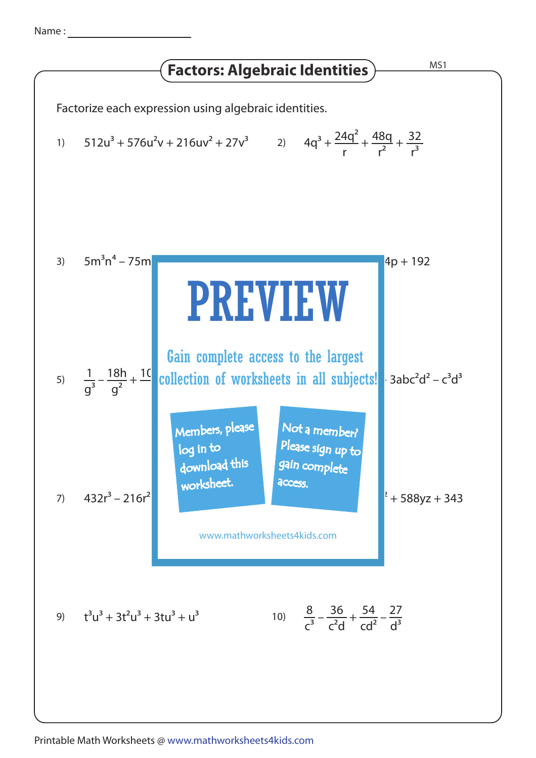